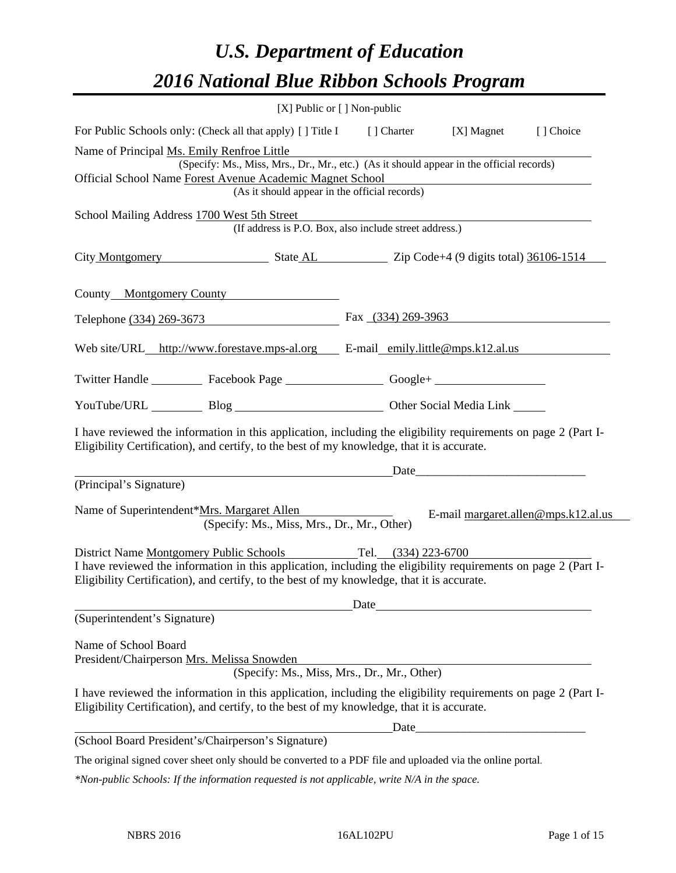# *U.S. Department of Education 2016 National Blue Ribbon Schools Program*

|                                                                                                                                                                                                                                                                             | [X] Public or [] Non-public                                                              |                                                                 |                                                                     |                                     |
|-----------------------------------------------------------------------------------------------------------------------------------------------------------------------------------------------------------------------------------------------------------------------------|------------------------------------------------------------------------------------------|-----------------------------------------------------------------|---------------------------------------------------------------------|-------------------------------------|
| For Public Schools only: (Check all that apply) [] Title I [] Charter                                                                                                                                                                                                       |                                                                                          |                                                                 | [X] Magnet                                                          | [] Choice                           |
| Name of Principal Ms. Emily Renfroe Little                                                                                                                                                                                                                                  |                                                                                          |                                                                 |                                                                     |                                     |
| Official School Name Forest Avenue Academic Magnet School                                                                                                                                                                                                                   | (Specify: Ms., Miss, Mrs., Dr., Mr., etc.) (As it should appear in the official records) |                                                                 |                                                                     |                                     |
|                                                                                                                                                                                                                                                                             | (As it should appear in the official records)                                            |                                                                 | <u> 1989 - Johann Stein, mars an deus Amerikaansk kommunister (</u> |                                     |
| School Mailing Address 1700 West 5th Street                                                                                                                                                                                                                                 | (If address is P.O. Box, also include street address.)                                   |                                                                 |                                                                     |                                     |
|                                                                                                                                                                                                                                                                             |                                                                                          | City Montgomery State AL Zip Code+4 (9 digits total) 36106-1514 |                                                                     |                                     |
| County Montgomery County                                                                                                                                                                                                                                                    |                                                                                          |                                                                 |                                                                     |                                     |
| Telephone (334) 269-3673 Fax (334) 269-3963                                                                                                                                                                                                                                 |                                                                                          |                                                                 |                                                                     |                                     |
| Web site/URL http://www.forestave.mps-al.org E-mail emily.little@mps.k12.al.us                                                                                                                                                                                              |                                                                                          |                                                                 |                                                                     |                                     |
| Twitter Handle ____________ Facebook Page ____________________ Google+ ____________________________                                                                                                                                                                         |                                                                                          |                                                                 |                                                                     |                                     |
|                                                                                                                                                                                                                                                                             | YouTube/URL Blog Blog Discount Other Social Media Link                                   |                                                                 |                                                                     |                                     |
| I have reviewed the information in this application, including the eligibility requirements on page 2 (Part I-<br>Eligibility Certification), and certify, to the best of my knowledge, that it is accurate.                                                                |                                                                                          |                                                                 |                                                                     |                                     |
|                                                                                                                                                                                                                                                                             |                                                                                          |                                                                 | Date                                                                |                                     |
| (Principal's Signature)                                                                                                                                                                                                                                                     |                                                                                          |                                                                 |                                                                     |                                     |
| Name of Superintendent*Mrs. Margaret Allen                                                                                                                                                                                                                                  | (Specify: Ms., Miss, Mrs., Dr., Mr., Other)                                              |                                                                 |                                                                     | E-mail margaret.allen@mps.k12.al.us |
| District Name Montgomery Public Schools Tel. (334) 223-6700<br>I have reviewed the information in this application, including the eligibility requirements on page 2 (Part I-<br>Eligibility Certification), and certify, to the best of my knowledge, that it is accurate. |                                                                                          |                                                                 |                                                                     |                                     |
| (Superintendent's Signature)                                                                                                                                                                                                                                                |                                                                                          |                                                                 | Date                                                                |                                     |
|                                                                                                                                                                                                                                                                             |                                                                                          |                                                                 |                                                                     |                                     |
| Name of School Board                                                                                                                                                                                                                                                        |                                                                                          |                                                                 |                                                                     |                                     |
| President/Chairperson Mrs. Melissa Snowden                                                                                                                                                                                                                                  | (Specify: Ms., Miss, Mrs., Dr., Mr., Other)                                              |                                                                 |                                                                     |                                     |
| I have reviewed the information in this application, including the eligibility requirements on page 2 (Part I-<br>Eligibility Certification), and certify, to the best of my knowledge, that it is accurate.                                                                |                                                                                          |                                                                 |                                                                     |                                     |
|                                                                                                                                                                                                                                                                             |                                                                                          |                                                                 |                                                                     |                                     |
| (School Board President's/Chairperson's Signature)                                                                                                                                                                                                                          |                                                                                          |                                                                 |                                                                     |                                     |
| The original signed cover sheet only should be converted to a PDF file and uploaded via the online portal.                                                                                                                                                                  |                                                                                          |                                                                 |                                                                     |                                     |

*\*Non-public Schools: If the information requested is not applicable, write N/A in the space.*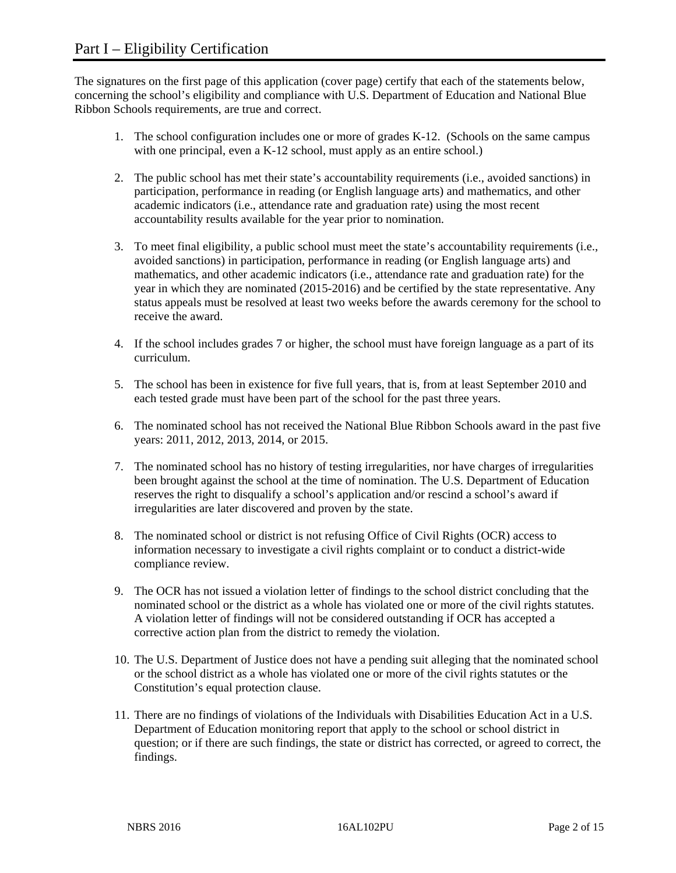The signatures on the first page of this application (cover page) certify that each of the statements below, concerning the school's eligibility and compliance with U.S. Department of Education and National Blue Ribbon Schools requirements, are true and correct.

- 1. The school configuration includes one or more of grades K-12. (Schools on the same campus with one principal, even a K-12 school, must apply as an entire school.)
- 2. The public school has met their state's accountability requirements (i.e., avoided sanctions) in participation, performance in reading (or English language arts) and mathematics, and other academic indicators (i.e., attendance rate and graduation rate) using the most recent accountability results available for the year prior to nomination.
- 3. To meet final eligibility, a public school must meet the state's accountability requirements (i.e., avoided sanctions) in participation, performance in reading (or English language arts) and mathematics, and other academic indicators (i.e., attendance rate and graduation rate) for the year in which they are nominated (2015-2016) and be certified by the state representative. Any status appeals must be resolved at least two weeks before the awards ceremony for the school to receive the award.
- 4. If the school includes grades 7 or higher, the school must have foreign language as a part of its curriculum.
- 5. The school has been in existence for five full years, that is, from at least September 2010 and each tested grade must have been part of the school for the past three years.
- 6. The nominated school has not received the National Blue Ribbon Schools award in the past five years: 2011, 2012, 2013, 2014, or 2015.
- 7. The nominated school has no history of testing irregularities, nor have charges of irregularities been brought against the school at the time of nomination. The U.S. Department of Education reserves the right to disqualify a school's application and/or rescind a school's award if irregularities are later discovered and proven by the state.
- 8. The nominated school or district is not refusing Office of Civil Rights (OCR) access to information necessary to investigate a civil rights complaint or to conduct a district-wide compliance review.
- 9. The OCR has not issued a violation letter of findings to the school district concluding that the nominated school or the district as a whole has violated one or more of the civil rights statutes. A violation letter of findings will not be considered outstanding if OCR has accepted a corrective action plan from the district to remedy the violation.
- 10. The U.S. Department of Justice does not have a pending suit alleging that the nominated school or the school district as a whole has violated one or more of the civil rights statutes or the Constitution's equal protection clause.
- 11. There are no findings of violations of the Individuals with Disabilities Education Act in a U.S. Department of Education monitoring report that apply to the school or school district in question; or if there are such findings, the state or district has corrected, or agreed to correct, the findings.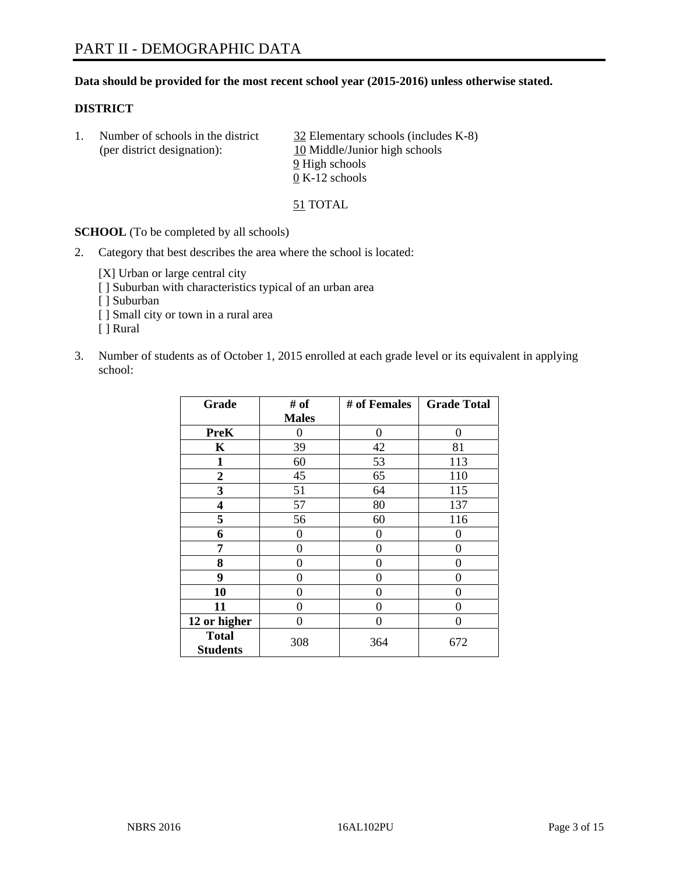#### **Data should be provided for the most recent school year (2015-2016) unless otherwise stated.**

#### **DISTRICT**

|  | Number of schools in the district<br>(per district designation): | 32 Elementary schools (includes K-8)<br>10 Middle/Junior high schools |  |
|--|------------------------------------------------------------------|-----------------------------------------------------------------------|--|
|  |                                                                  | 9 High schools<br>$0 K-12$ schools                                    |  |

51 TOTAL

**SCHOOL** (To be completed by all schools)

2. Category that best describes the area where the school is located:

[X] Urban or large central city [ ] Suburban with characteristics typical of an urban area

[ ] Suburban

- [ ] Small city or town in a rural area
- [ ] Rural
- 3. Number of students as of October 1, 2015 enrolled at each grade level or its equivalent in applying school:

| Grade                           | # of         | # of Females | <b>Grade Total</b> |
|---------------------------------|--------------|--------------|--------------------|
|                                 | <b>Males</b> |              |                    |
| <b>PreK</b>                     | 0            | 0            | $\Omega$           |
| $\mathbf K$                     | 39           | 42           | 81                 |
| 1                               | 60           | 53           | 113                |
| $\overline{2}$                  | 45           | 65           | 110                |
| 3                               | 51           | 64           | 115                |
| 4                               | 57           | 80           | 137                |
| 5                               | 56           | 60           | 116                |
| 6                               | 0            | 0            | $\Omega$           |
| 7                               | 0            | $\theta$     | 0                  |
| 8                               | 0            | 0            | 0                  |
| 9                               | 0            | $\theta$     | 0                  |
| 10                              | 0            | 0            | $\mathbf{\Omega}$  |
| 11                              | 0            | 0            | 0                  |
| 12 or higher                    | 0            | 0            | 0                  |
| <b>Total</b><br><b>Students</b> | 308          | 364          | 672                |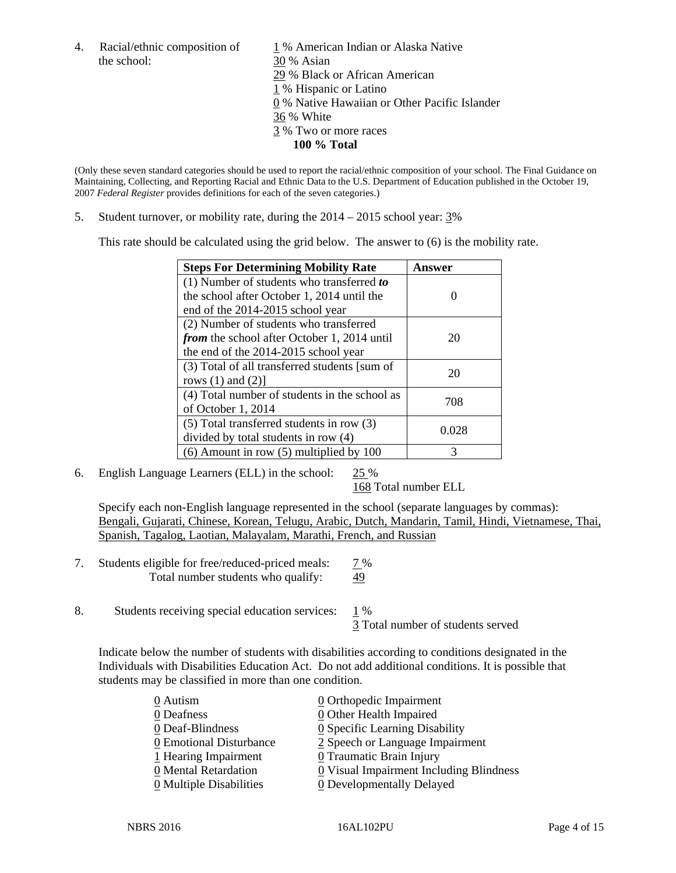the school: 30 % Asian

4. Racial/ethnic composition of  $1\%$  American Indian or Alaska Native 29 % Black or African American 1 % Hispanic or Latino 0 % Native Hawaiian or Other Pacific Islander 36 % White 3 % Two or more races **100 % Total** 

(Only these seven standard categories should be used to report the racial/ethnic composition of your school. The Final Guidance on Maintaining, Collecting, and Reporting Racial and Ethnic Data to the U.S. Department of Education published in the October 19, 2007 *Federal Register* provides definitions for each of the seven categories.)

5. Student turnover, or mobility rate, during the  $2014 - 2015$  school year:  $3\%$ 

This rate should be calculated using the grid below. The answer to (6) is the mobility rate.

| <b>Steps For Determining Mobility Rate</b>         | Answer |  |
|----------------------------------------------------|--------|--|
| (1) Number of students who transferred to          |        |  |
| the school after October 1, 2014 until the         |        |  |
| end of the 2014-2015 school year                   |        |  |
| (2) Number of students who transferred             |        |  |
| <i>from</i> the school after October 1, 2014 until | 20     |  |
| the end of the 2014-2015 school year               |        |  |
| (3) Total of all transferred students [sum of      | 20     |  |
| rows $(1)$ and $(2)$ ]                             |        |  |
| (4) Total number of students in the school as      | 708    |  |
| of October 1, 2014                                 |        |  |
| (5) Total transferred students in row (3)          | 0.028  |  |
| divided by total students in row (4)               |        |  |
| $(6)$ Amount in row $(5)$ multiplied by 100        | 3      |  |

6. English Language Learners (ELL) in the school:  $25\%$ 

168 Total number ELL

 Specify each non-English language represented in the school (separate languages by commas): Bengali, Gujarati, Chinese, Korean, Telugu, Arabic, Dutch, Mandarin, Tamil, Hindi, Vietnamese, Thai, Spanish, Tagalog, Laotian, Malayalam, Marathi, French, and Russian

- 7. Students eligible for free/reduced-priced meals: 7 % Total number students who qualify: 49
- 8. Students receiving special education services: 1 % 3 Total number of students served

Indicate below the number of students with disabilities according to conditions designated in the Individuals with Disabilities Education Act. Do not add additional conditions. It is possible that students may be classified in more than one condition.

| 0 Autism                              | 0 Orthopedic Impairment                 |
|---------------------------------------|-----------------------------------------|
| 0 Deafness                            | 0 Other Health Impaired                 |
| 0 Deaf-Blindness                      | 0 Specific Learning Disability          |
| 0 Emotional Disturbance               | 2 Speech or Language Impairment         |
| 1 Hearing Impairment                  | $\underline{0}$ Traumatic Brain Injury  |
| 0 Mental Retardation                  | 0 Visual Impairment Including Blindness |
| $\underline{0}$ Multiple Disabilities | 0 Developmentally Delayed               |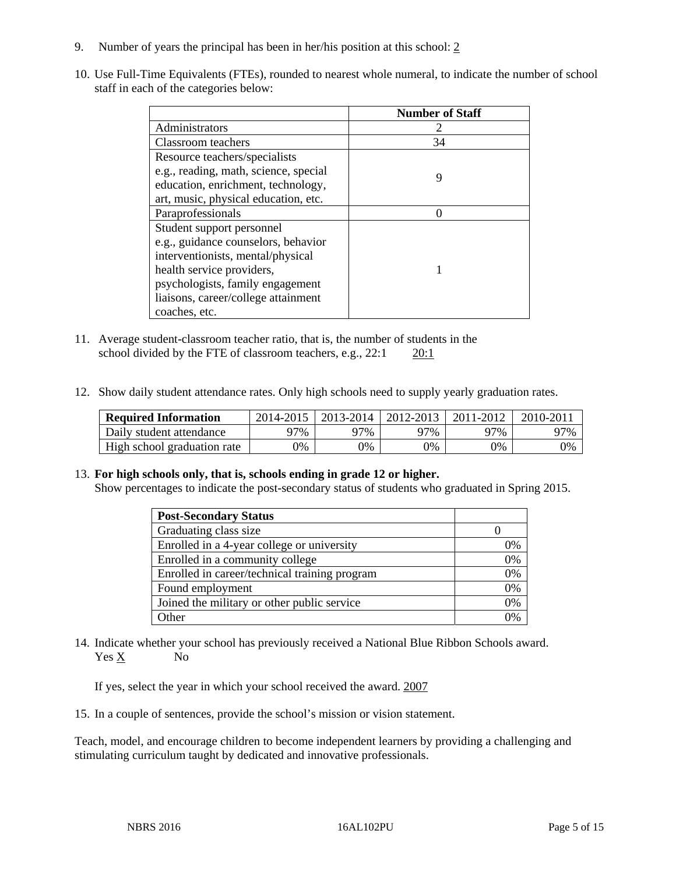- 9. Number of years the principal has been in her/his position at this school: 2
- 10. Use Full-Time Equivalents (FTEs), rounded to nearest whole numeral, to indicate the number of school staff in each of the categories below:

|                                       | <b>Number of Staff</b> |
|---------------------------------------|------------------------|
| Administrators                        |                        |
| Classroom teachers                    | 34                     |
| Resource teachers/specialists         |                        |
| e.g., reading, math, science, special | 9                      |
| education, enrichment, technology,    |                        |
| art, music, physical education, etc.  |                        |
| Paraprofessionals                     |                        |
| Student support personnel             |                        |
| e.g., guidance counselors, behavior   |                        |
| interventionists, mental/physical     |                        |
| health service providers,             |                        |
| psychologists, family engagement      |                        |
| liaisons, career/college attainment   |                        |
| coaches, etc.                         |                        |

- 11. Average student-classroom teacher ratio, that is, the number of students in the school divided by the FTE of classroom teachers, e.g., 22:1 20:1
- 12. Show daily student attendance rates. Only high schools need to supply yearly graduation rates.

| <b>Required Information</b> |     | $2014 - 2015$   2013-2014 | 2012-2013 | 2011-2012 | $2010 - 201$ |
|-----------------------------|-----|---------------------------|-----------|-----------|--------------|
| Daily student attendance    | 97% | 97%                       | 97%       | 97%       | 97%          |
| High school graduation rate | 0%  | $\gamma\%$                | 9%        | 9%        | 0%           |

#### 13. **For high schools only, that is, schools ending in grade 12 or higher.**

Show percentages to indicate the post-secondary status of students who graduated in Spring 2015.

| <b>Post-Secondary Status</b>                  |    |
|-----------------------------------------------|----|
| Graduating class size                         |    |
| Enrolled in a 4-year college or university    | 0% |
| Enrolled in a community college               | 0% |
| Enrolled in career/technical training program | 0% |
| Found employment                              | 0% |
| Joined the military or other public service   | 0% |
| <b>Other</b>                                  |    |

14. Indicate whether your school has previously received a National Blue Ribbon Schools award. Yes X No

If yes, select the year in which your school received the award. 2007

15. In a couple of sentences, provide the school's mission or vision statement.

Teach, model, and encourage children to become independent learners by providing a challenging and stimulating curriculum taught by dedicated and innovative professionals.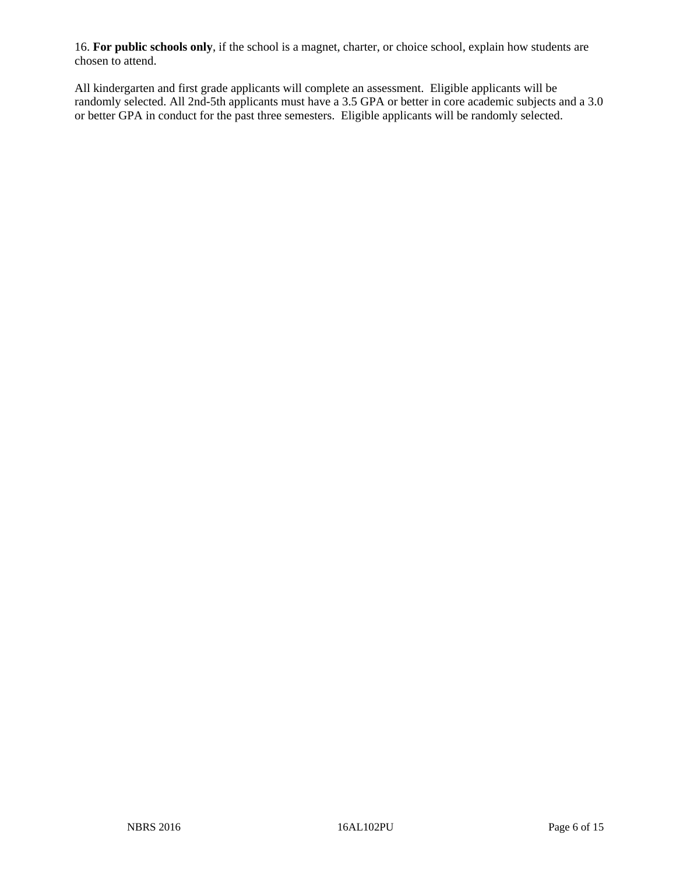16. **For public schools only**, if the school is a magnet, charter, or choice school, explain how students are chosen to attend.

All kindergarten and first grade applicants will complete an assessment. Eligible applicants will be randomly selected. All 2nd-5th applicants must have a 3.5 GPA or better in core academic subjects and a 3.0 or better GPA in conduct for the past three semesters. Eligible applicants will be randomly selected.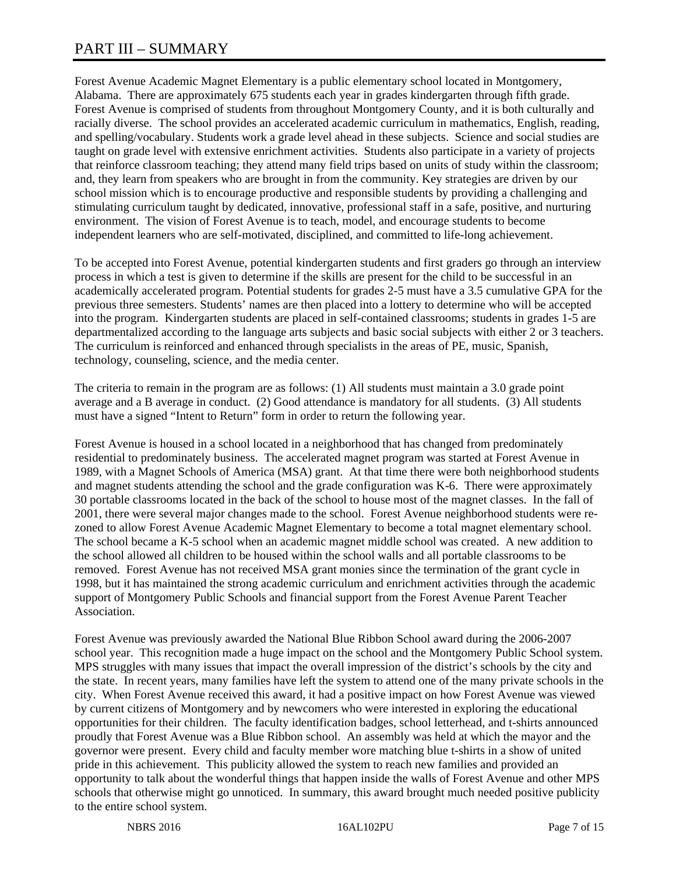# PART III – SUMMARY

Forest Avenue Academic Magnet Elementary is a public elementary school located in Montgomery, Alabama. There are approximately 675 students each year in grades kindergarten through fifth grade. Forest Avenue is comprised of students from throughout Montgomery County, and it is both culturally and racially diverse. The school provides an accelerated academic curriculum in mathematics, English, reading, and spelling/vocabulary. Students work a grade level ahead in these subjects. Science and social studies are taught on grade level with extensive enrichment activities. Students also participate in a variety of projects that reinforce classroom teaching; they attend many field trips based on units of study within the classroom; and, they learn from speakers who are brought in from the community. Key strategies are driven by our school mission which is to encourage productive and responsible students by providing a challenging and stimulating curriculum taught by dedicated, innovative, professional staff in a safe, positive, and nurturing environment. The vision of Forest Avenue is to teach, model, and encourage students to become independent learners who are self-motivated, disciplined, and committed to life-long achievement.

To be accepted into Forest Avenue, potential kindergarten students and first graders go through an interview process in which a test is given to determine if the skills are present for the child to be successful in an academically accelerated program. Potential students for grades 2-5 must have a 3.5 cumulative GPA for the previous three semesters. Students' names are then placed into a lottery to determine who will be accepted into the program. Kindergarten students are placed in self-contained classrooms; students in grades 1-5 are departmentalized according to the language arts subjects and basic social subjects with either 2 or 3 teachers. The curriculum is reinforced and enhanced through specialists in the areas of PE, music, Spanish, technology, counseling, science, and the media center.

The criteria to remain in the program are as follows: (1) All students must maintain a 3.0 grade point average and a B average in conduct. (2) Good attendance is mandatory for all students. (3) All students must have a signed "Intent to Return" form in order to return the following year.

Forest Avenue is housed in a school located in a neighborhood that has changed from predominately residential to predominately business. The accelerated magnet program was started at Forest Avenue in 1989, with a Magnet Schools of America (MSA) grant. At that time there were both neighborhood students and magnet students attending the school and the grade configuration was K-6. There were approximately 30 portable classrooms located in the back of the school to house most of the magnet classes. In the fall of 2001, there were several major changes made to the school. Forest Avenue neighborhood students were rezoned to allow Forest Avenue Academic Magnet Elementary to become a total magnet elementary school. The school became a K-5 school when an academic magnet middle school was created. A new addition to the school allowed all children to be housed within the school walls and all portable classrooms to be removed. Forest Avenue has not received MSA grant monies since the termination of the grant cycle in 1998, but it has maintained the strong academic curriculum and enrichment activities through the academic support of Montgomery Public Schools and financial support from the Forest Avenue Parent Teacher Association.

Forest Avenue was previously awarded the National Blue Ribbon School award during the 2006-2007 school year. This recognition made a huge impact on the school and the Montgomery Public School system. MPS struggles with many issues that impact the overall impression of the district's schools by the city and the state. In recent years, many families have left the system to attend one of the many private schools in the city. When Forest Avenue received this award, it had a positive impact on how Forest Avenue was viewed by current citizens of Montgomery and by newcomers who were interested in exploring the educational opportunities for their children. The faculty identification badges, school letterhead, and t-shirts announced proudly that Forest Avenue was a Blue Ribbon school. An assembly was held at which the mayor and the governor were present. Every child and faculty member wore matching blue t-shirts in a show of united pride in this achievement. This publicity allowed the system to reach new families and provided an opportunity to talk about the wonderful things that happen inside the walls of Forest Avenue and other MPS schools that otherwise might go unnoticed. In summary, this award brought much needed positive publicity to the entire school system.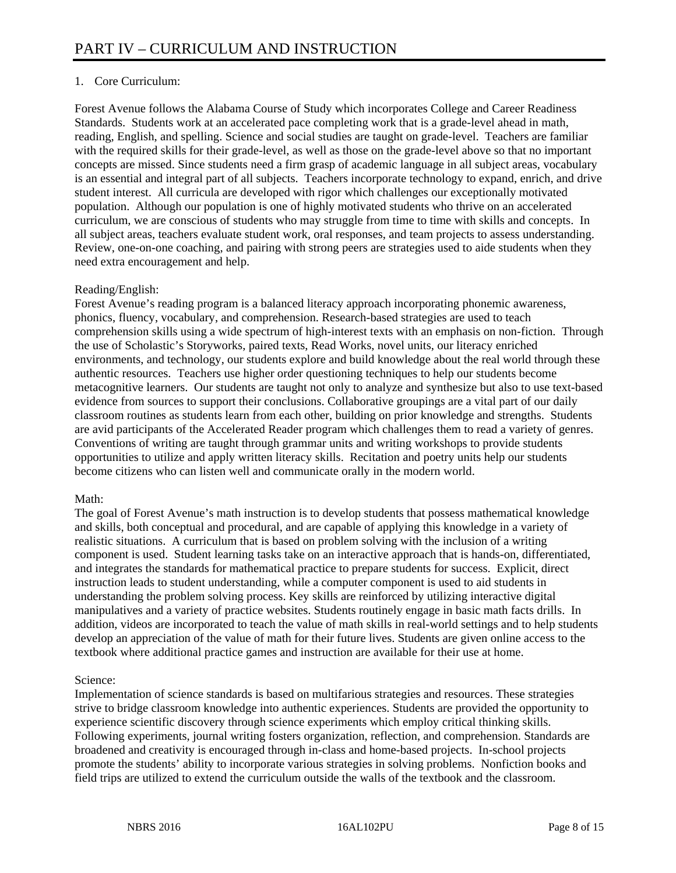# 1. Core Curriculum:

Forest Avenue follows the Alabama Course of Study which incorporates College and Career Readiness Standards. Students work at an accelerated pace completing work that is a grade-level ahead in math, reading, English, and spelling. Science and social studies are taught on grade-level. Teachers are familiar with the required skills for their grade-level, as well as those on the grade-level above so that no important concepts are missed. Since students need a firm grasp of academic language in all subject areas, vocabulary is an essential and integral part of all subjects. Teachers incorporate technology to expand, enrich, and drive student interest. All curricula are developed with rigor which challenges our exceptionally motivated population. Although our population is one of highly motivated students who thrive on an accelerated curriculum, we are conscious of students who may struggle from time to time with skills and concepts. In all subject areas, teachers evaluate student work, oral responses, and team projects to assess understanding. Review, one-on-one coaching, and pairing with strong peers are strategies used to aide students when they need extra encouragement and help.

#### Reading/English:

Forest Avenue's reading program is a balanced literacy approach incorporating phonemic awareness, phonics, fluency, vocabulary, and comprehension. Research-based strategies are used to teach comprehension skills using a wide spectrum of high-interest texts with an emphasis on non-fiction. Through the use of Scholastic's Storyworks, paired texts, Read Works, novel units, our literacy enriched environments, and technology, our students explore and build knowledge about the real world through these authentic resources. Teachers use higher order questioning techniques to help our students become metacognitive learners. Our students are taught not only to analyze and synthesize but also to use text-based evidence from sources to support their conclusions. Collaborative groupings are a vital part of our daily classroom routines as students learn from each other, building on prior knowledge and strengths. Students are avid participants of the Accelerated Reader program which challenges them to read a variety of genres. Conventions of writing are taught through grammar units and writing workshops to provide students opportunities to utilize and apply written literacy skills. Recitation and poetry units help our students become citizens who can listen well and communicate orally in the modern world.

#### Math:

The goal of Forest Avenue's math instruction is to develop students that possess mathematical knowledge and skills, both conceptual and procedural, and are capable of applying this knowledge in a variety of realistic situations. A curriculum that is based on problem solving with the inclusion of a writing component is used. Student learning tasks take on an interactive approach that is hands-on, differentiated, and integrates the standards for mathematical practice to prepare students for success. Explicit, direct instruction leads to student understanding, while a computer component is used to aid students in understanding the problem solving process. Key skills are reinforced by utilizing interactive digital manipulatives and a variety of practice websites. Students routinely engage in basic math facts drills. In addition, videos are incorporated to teach the value of math skills in real-world settings and to help students develop an appreciation of the value of math for their future lives. Students are given online access to the textbook where additional practice games and instruction are available for their use at home.

#### Science:

Implementation of science standards is based on multifarious strategies and resources. These strategies strive to bridge classroom knowledge into authentic experiences. Students are provided the opportunity to experience scientific discovery through science experiments which employ critical thinking skills. Following experiments, journal writing fosters organization, reflection, and comprehension. Standards are broadened and creativity is encouraged through in-class and home-based projects. In-school projects promote the students' ability to incorporate various strategies in solving problems. Nonfiction books and field trips are utilized to extend the curriculum outside the walls of the textbook and the classroom.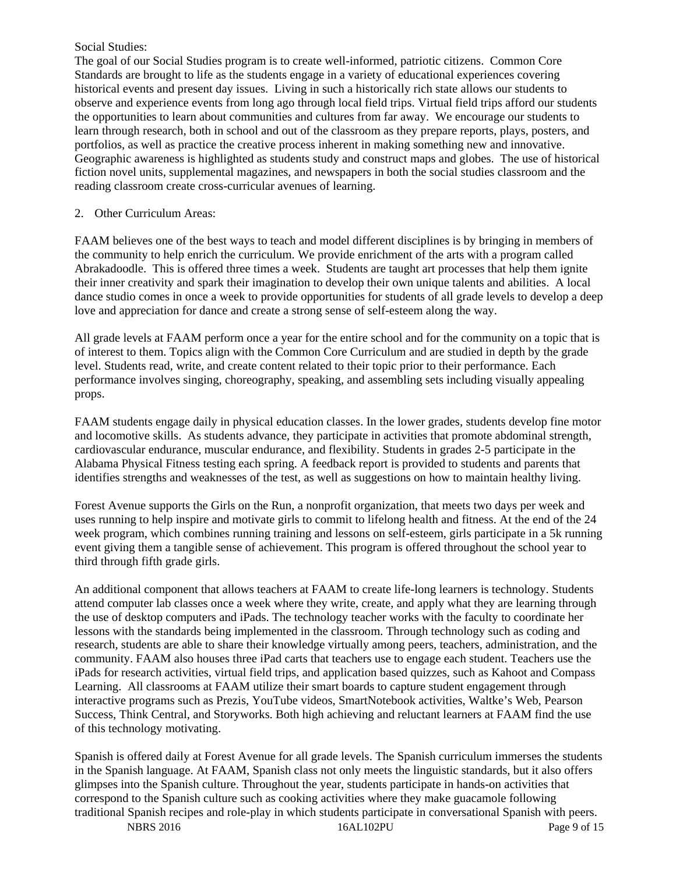#### Social Studies:

The goal of our Social Studies program is to create well-informed, patriotic citizens. Common Core Standards are brought to life as the students engage in a variety of educational experiences covering historical events and present day issues. Living in such a historically rich state allows our students to observe and experience events from long ago through local field trips. Virtual field trips afford our students the opportunities to learn about communities and cultures from far away. We encourage our students to learn through research, both in school and out of the classroom as they prepare reports, plays, posters, and portfolios, as well as practice the creative process inherent in making something new and innovative. Geographic awareness is highlighted as students study and construct maps and globes. The use of historical fiction novel units, supplemental magazines, and newspapers in both the social studies classroom and the reading classroom create cross-curricular avenues of learning.

#### 2. Other Curriculum Areas:

FAAM believes one of the best ways to teach and model different disciplines is by bringing in members of the community to help enrich the curriculum. We provide enrichment of the arts with a program called Abrakadoodle. This is offered three times a week. Students are taught art processes that help them ignite their inner creativity and spark their imagination to develop their own unique talents and abilities. A local dance studio comes in once a week to provide opportunities for students of all grade levels to develop a deep love and appreciation for dance and create a strong sense of self-esteem along the way.

All grade levels at FAAM perform once a year for the entire school and for the community on a topic that is of interest to them. Topics align with the Common Core Curriculum and are studied in depth by the grade level. Students read, write, and create content related to their topic prior to their performance. Each performance involves singing, choreography, speaking, and assembling sets including visually appealing props.

FAAM students engage daily in physical education classes. In the lower grades, students develop fine motor and locomotive skills. As students advance, they participate in activities that promote abdominal strength, cardiovascular endurance, muscular endurance, and flexibility. Students in grades 2-5 participate in the Alabama Physical Fitness testing each spring. A feedback report is provided to students and parents that identifies strengths and weaknesses of the test, as well as suggestions on how to maintain healthy living.

Forest Avenue supports the Girls on the Run, a nonprofit organization, that meets two days per week and uses running to help inspire and motivate girls to commit to lifelong health and fitness. At the end of the 24 week program, which combines running training and lessons on self-esteem, girls participate in a 5k running event giving them a tangible sense of achievement. This program is offered throughout the school year to third through fifth grade girls.

An additional component that allows teachers at FAAM to create life-long learners is technology. Students attend computer lab classes once a week where they write, create, and apply what they are learning through the use of desktop computers and iPads. The technology teacher works with the faculty to coordinate her lessons with the standards being implemented in the classroom. Through technology such as coding and research, students are able to share their knowledge virtually among peers, teachers, administration, and the community. FAAM also houses three iPad carts that teachers use to engage each student. Teachers use the iPads for research activities, virtual field trips, and application based quizzes, such as Kahoot and Compass Learning. All classrooms at FAAM utilize their smart boards to capture student engagement through interactive programs such as Prezis, YouTube videos, SmartNotebook activities, Waltke's Web, Pearson Success, Think Central, and Storyworks. Both high achieving and reluctant learners at FAAM find the use of this technology motivating.

Spanish is offered daily at Forest Avenue for all grade levels. The Spanish curriculum immerses the students in the Spanish language. At FAAM, Spanish class not only meets the linguistic standards, but it also offers glimpses into the Spanish culture. Throughout the year, students participate in hands-on activities that correspond to the Spanish culture such as cooking activities where they make guacamole following traditional Spanish recipes and role-play in which students participate in conversational Spanish with peers.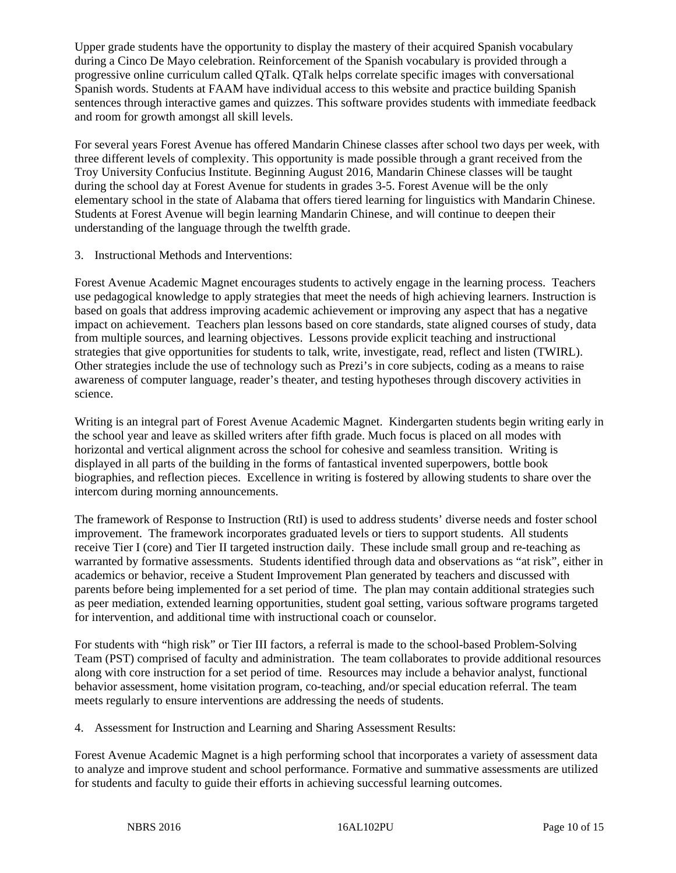Upper grade students have the opportunity to display the mastery of their acquired Spanish vocabulary during a Cinco De Mayo celebration. Reinforcement of the Spanish vocabulary is provided through a progressive online curriculum called QTalk. QTalk helps correlate specific images with conversational Spanish words. Students at FAAM have individual access to this website and practice building Spanish sentences through interactive games and quizzes. This software provides students with immediate feedback and room for growth amongst all skill levels.

For several years Forest Avenue has offered Mandarin Chinese classes after school two days per week, with three different levels of complexity. This opportunity is made possible through a grant received from the Troy University Confucius Institute. Beginning August 2016, Mandarin Chinese classes will be taught during the school day at Forest Avenue for students in grades 3-5. Forest Avenue will be the only elementary school in the state of Alabama that offers tiered learning for linguistics with Mandarin Chinese. Students at Forest Avenue will begin learning Mandarin Chinese, and will continue to deepen their understanding of the language through the twelfth grade.

3. Instructional Methods and Interventions:

Forest Avenue Academic Magnet encourages students to actively engage in the learning process. Teachers use pedagogical knowledge to apply strategies that meet the needs of high achieving learners. Instruction is based on goals that address improving academic achievement or improving any aspect that has a negative impact on achievement. Teachers plan lessons based on core standards, state aligned courses of study, data from multiple sources, and learning objectives. Lessons provide explicit teaching and instructional strategies that give opportunities for students to talk, write, investigate, read, reflect and listen (TWIRL). Other strategies include the use of technology such as Prezi's in core subjects, coding as a means to raise awareness of computer language, reader's theater, and testing hypotheses through discovery activities in science.

Writing is an integral part of Forest Avenue Academic Magnet. Kindergarten students begin writing early in the school year and leave as skilled writers after fifth grade. Much focus is placed on all modes with horizontal and vertical alignment across the school for cohesive and seamless transition. Writing is displayed in all parts of the building in the forms of fantastical invented superpowers, bottle book biographies, and reflection pieces. Excellence in writing is fostered by allowing students to share over the intercom during morning announcements.

The framework of Response to Instruction (RtI) is used to address students' diverse needs and foster school improvement. The framework incorporates graduated levels or tiers to support students. All students receive Tier I (core) and Tier II targeted instruction daily. These include small group and re-teaching as warranted by formative assessments. Students identified through data and observations as "at risk", either in academics or behavior, receive a Student Improvement Plan generated by teachers and discussed with parents before being implemented for a set period of time. The plan may contain additional strategies such as peer mediation, extended learning opportunities, student goal setting, various software programs targeted for intervention, and additional time with instructional coach or counselor.

For students with "high risk" or Tier III factors, a referral is made to the school-based Problem-Solving Team (PST) comprised of faculty and administration. The team collaborates to provide additional resources along with core instruction for a set period of time. Resources may include a behavior analyst, functional behavior assessment, home visitation program, co-teaching, and/or special education referral. The team meets regularly to ensure interventions are addressing the needs of students.

4. Assessment for Instruction and Learning and Sharing Assessment Results:

Forest Avenue Academic Magnet is a high performing school that incorporates a variety of assessment data to analyze and improve student and school performance. Formative and summative assessments are utilized for students and faculty to guide their efforts in achieving successful learning outcomes.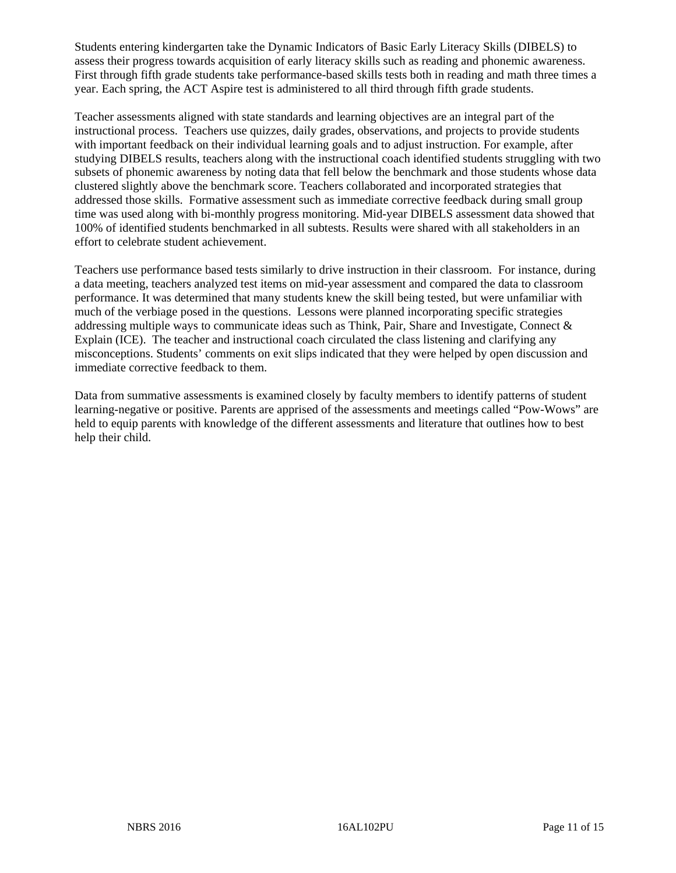Students entering kindergarten take the Dynamic Indicators of Basic Early Literacy Skills (DIBELS) to assess their progress towards acquisition of early literacy skills such as reading and phonemic awareness. First through fifth grade students take performance-based skills tests both in reading and math three times a year. Each spring, the ACT Aspire test is administered to all third through fifth grade students.

Teacher assessments aligned with state standards and learning objectives are an integral part of the instructional process. Teachers use quizzes, daily grades, observations, and projects to provide students with important feedback on their individual learning goals and to adjust instruction. For example, after studying DIBELS results, teachers along with the instructional coach identified students struggling with two subsets of phonemic awareness by noting data that fell below the benchmark and those students whose data clustered slightly above the benchmark score. Teachers collaborated and incorporated strategies that addressed those skills. Formative assessment such as immediate corrective feedback during small group time was used along with bi-monthly progress monitoring. Mid-year DIBELS assessment data showed that 100% of identified students benchmarked in all subtests. Results were shared with all stakeholders in an effort to celebrate student achievement.

Teachers use performance based tests similarly to drive instruction in their classroom. For instance, during a data meeting, teachers analyzed test items on mid-year assessment and compared the data to classroom performance. It was determined that many students knew the skill being tested, but were unfamiliar with much of the verbiage posed in the questions. Lessons were planned incorporating specific strategies addressing multiple ways to communicate ideas such as Think, Pair, Share and Investigate, Connect  $\&$ Explain (ICE). The teacher and instructional coach circulated the class listening and clarifying any misconceptions. Students' comments on exit slips indicated that they were helped by open discussion and immediate corrective feedback to them.

Data from summative assessments is examined closely by faculty members to identify patterns of student learning-negative or positive. Parents are apprised of the assessments and meetings called "Pow-Wows" are held to equip parents with knowledge of the different assessments and literature that outlines how to best help their child.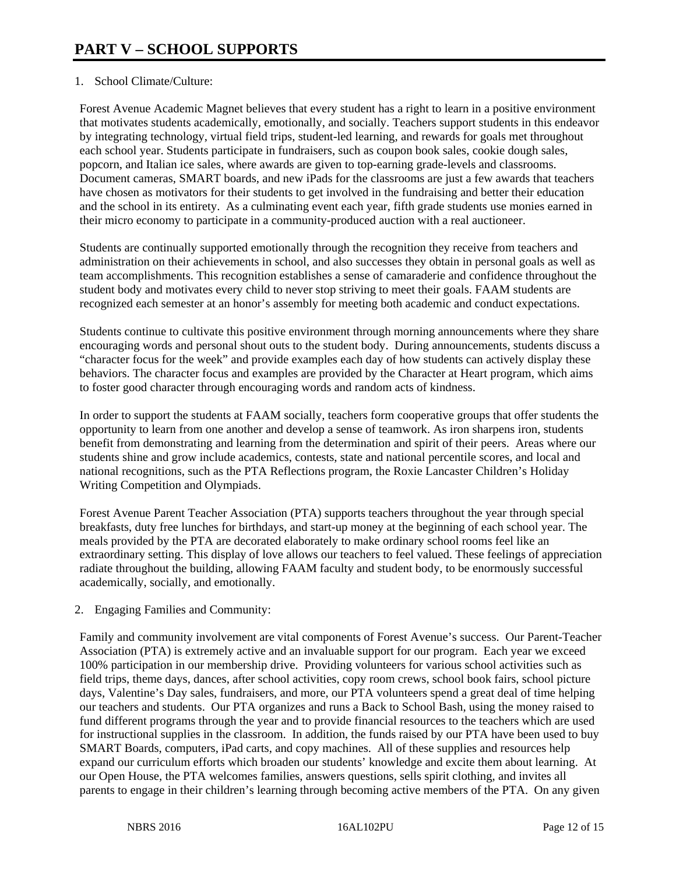## 1. School Climate/Culture:

Forest Avenue Academic Magnet believes that every student has a right to learn in a positive environment that motivates students academically, emotionally, and socially. Teachers support students in this endeavor by integrating technology, virtual field trips, student-led learning, and rewards for goals met throughout each school year. Students participate in fundraisers, such as coupon book sales, cookie dough sales, popcorn, and Italian ice sales, where awards are given to top-earning grade-levels and classrooms. Document cameras, SMART boards, and new iPads for the classrooms are just a few awards that teachers have chosen as motivators for their students to get involved in the fundraising and better their education and the school in its entirety. As a culminating event each year, fifth grade students use monies earned in their micro economy to participate in a community-produced auction with a real auctioneer.

Students are continually supported emotionally through the recognition they receive from teachers and administration on their achievements in school, and also successes they obtain in personal goals as well as team accomplishments. This recognition establishes a sense of camaraderie and confidence throughout the student body and motivates every child to never stop striving to meet their goals. FAAM students are recognized each semester at an honor's assembly for meeting both academic and conduct expectations.

Students continue to cultivate this positive environment through morning announcements where they share encouraging words and personal shout outs to the student body. During announcements, students discuss a "character focus for the week" and provide examples each day of how students can actively display these behaviors. The character focus and examples are provided by the Character at Heart program, which aims to foster good character through encouraging words and random acts of kindness.

In order to support the students at FAAM socially, teachers form cooperative groups that offer students the opportunity to learn from one another and develop a sense of teamwork. As iron sharpens iron, students benefit from demonstrating and learning from the determination and spirit of their peers. Areas where our students shine and grow include academics, contests, state and national percentile scores, and local and national recognitions, such as the PTA Reflections program, the Roxie Lancaster Children's Holiday Writing Competition and Olympiads.

Forest Avenue Parent Teacher Association (PTA) supports teachers throughout the year through special breakfasts, duty free lunches for birthdays, and start-up money at the beginning of each school year. The meals provided by the PTA are decorated elaborately to make ordinary school rooms feel like an extraordinary setting. This display of love allows our teachers to feel valued. These feelings of appreciation radiate throughout the building, allowing FAAM faculty and student body, to be enormously successful academically, socially, and emotionally.

## 2. Engaging Families and Community:

Family and community involvement are vital components of Forest Avenue's success. Our Parent-Teacher Association (PTA) is extremely active and an invaluable support for our program. Each year we exceed 100% participation in our membership drive. Providing volunteers for various school activities such as field trips, theme days, dances, after school activities, copy room crews, school book fairs, school picture days, Valentine's Day sales, fundraisers, and more, our PTA volunteers spend a great deal of time helping our teachers and students. Our PTA organizes and runs a Back to School Bash, using the money raised to fund different programs through the year and to provide financial resources to the teachers which are used for instructional supplies in the classroom. In addition, the funds raised by our PTA have been used to buy SMART Boards, computers, iPad carts, and copy machines. All of these supplies and resources help expand our curriculum efforts which broaden our students' knowledge and excite them about learning. At our Open House, the PTA welcomes families, answers questions, sells spirit clothing, and invites all parents to engage in their children's learning through becoming active members of the PTA. On any given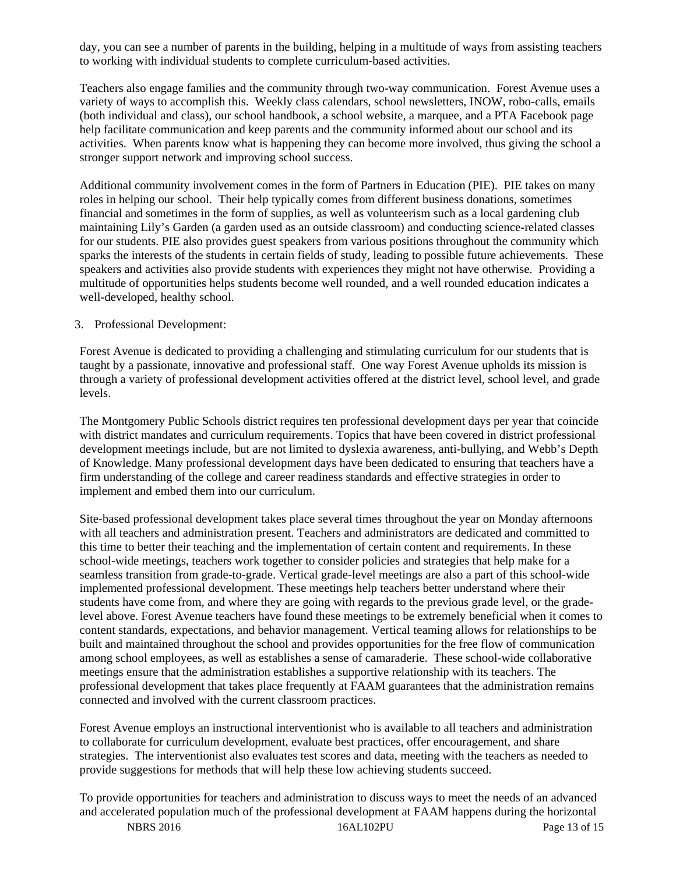day, you can see a number of parents in the building, helping in a multitude of ways from assisting teachers to working with individual students to complete curriculum-based activities.

Teachers also engage families and the community through two-way communication. Forest Avenue uses a variety of ways to accomplish this. Weekly class calendars, school newsletters, INOW, robo-calls, emails (both individual and class), our school handbook, a school website, a marquee, and a PTA Facebook page help facilitate communication and keep parents and the community informed about our school and its activities. When parents know what is happening they can become more involved, thus giving the school a stronger support network and improving school success.

Additional community involvement comes in the form of Partners in Education (PIE). PIE takes on many roles in helping our school. Their help typically comes from different business donations, sometimes financial and sometimes in the form of supplies, as well as volunteerism such as a local gardening club maintaining Lily's Garden (a garden used as an outside classroom) and conducting science-related classes for our students. PIE also provides guest speakers from various positions throughout the community which sparks the interests of the students in certain fields of study, leading to possible future achievements. These speakers and activities also provide students with experiences they might not have otherwise. Providing a multitude of opportunities helps students become well rounded, and a well rounded education indicates a well-developed, healthy school.

#### 3. Professional Development:

Forest Avenue is dedicated to providing a challenging and stimulating curriculum for our students that is taught by a passionate, innovative and professional staff. One way Forest Avenue upholds its mission is through a variety of professional development activities offered at the district level, school level, and grade levels.

The Montgomery Public Schools district requires ten professional development days per year that coincide with district mandates and curriculum requirements. Topics that have been covered in district professional development meetings include, but are not limited to dyslexia awareness, anti-bullying, and Webb's Depth of Knowledge. Many professional development days have been dedicated to ensuring that teachers have a firm understanding of the college and career readiness standards and effective strategies in order to implement and embed them into our curriculum.

Site-based professional development takes place several times throughout the year on Monday afternoons with all teachers and administration present. Teachers and administrators are dedicated and committed to this time to better their teaching and the implementation of certain content and requirements. In these school-wide meetings, teachers work together to consider policies and strategies that help make for a seamless transition from grade-to-grade. Vertical grade-level meetings are also a part of this school-wide implemented professional development. These meetings help teachers better understand where their students have come from, and where they are going with regards to the previous grade level, or the gradelevel above. Forest Avenue teachers have found these meetings to be extremely beneficial when it comes to content standards, expectations, and behavior management. Vertical teaming allows for relationships to be built and maintained throughout the school and provides opportunities for the free flow of communication among school employees, as well as establishes a sense of camaraderie. These school-wide collaborative meetings ensure that the administration establishes a supportive relationship with its teachers. The professional development that takes place frequently at FAAM guarantees that the administration remains connected and involved with the current classroom practices.

Forest Avenue employs an instructional interventionist who is available to all teachers and administration to collaborate for curriculum development, evaluate best practices, offer encouragement, and share strategies. The interventionist also evaluates test scores and data, meeting with the teachers as needed to provide suggestions for methods that will help these low achieving students succeed.

To provide opportunities for teachers and administration to discuss ways to meet the needs of an advanced and accelerated population much of the professional development at FAAM happens during the horizontal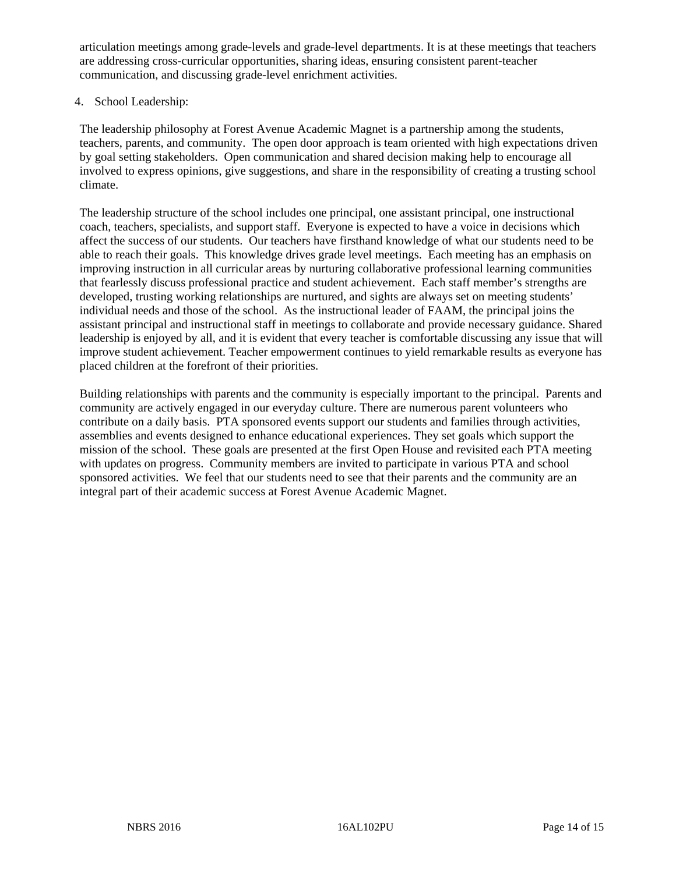articulation meetings among grade-levels and grade-level departments. It is at these meetings that teachers are addressing cross-curricular opportunities, sharing ideas, ensuring consistent parent-teacher communication, and discussing grade-level enrichment activities.

#### 4. School Leadership:

The leadership philosophy at Forest Avenue Academic Magnet is a partnership among the students, teachers, parents, and community. The open door approach is team oriented with high expectations driven by goal setting stakeholders. Open communication and shared decision making help to encourage all involved to express opinions, give suggestions, and share in the responsibility of creating a trusting school climate.

The leadership structure of the school includes one principal, one assistant principal, one instructional coach, teachers, specialists, and support staff. Everyone is expected to have a voice in decisions which affect the success of our students. Our teachers have firsthand knowledge of what our students need to be able to reach their goals. This knowledge drives grade level meetings. Each meeting has an emphasis on improving instruction in all curricular areas by nurturing collaborative professional learning communities that fearlessly discuss professional practice and student achievement. Each staff member's strengths are developed, trusting working relationships are nurtured, and sights are always set on meeting students' individual needs and those of the school. As the instructional leader of FAAM, the principal joins the assistant principal and instructional staff in meetings to collaborate and provide necessary guidance. Shared leadership is enjoyed by all, and it is evident that every teacher is comfortable discussing any issue that will improve student achievement. Teacher empowerment continues to yield remarkable results as everyone has placed children at the forefront of their priorities.

Building relationships with parents and the community is especially important to the principal. Parents and community are actively engaged in our everyday culture. There are numerous parent volunteers who contribute on a daily basis. PTA sponsored events support our students and families through activities, assemblies and events designed to enhance educational experiences. They set goals which support the mission of the school. These goals are presented at the first Open House and revisited each PTA meeting with updates on progress. Community members are invited to participate in various PTA and school sponsored activities. We feel that our students need to see that their parents and the community are an integral part of their academic success at Forest Avenue Academic Magnet.